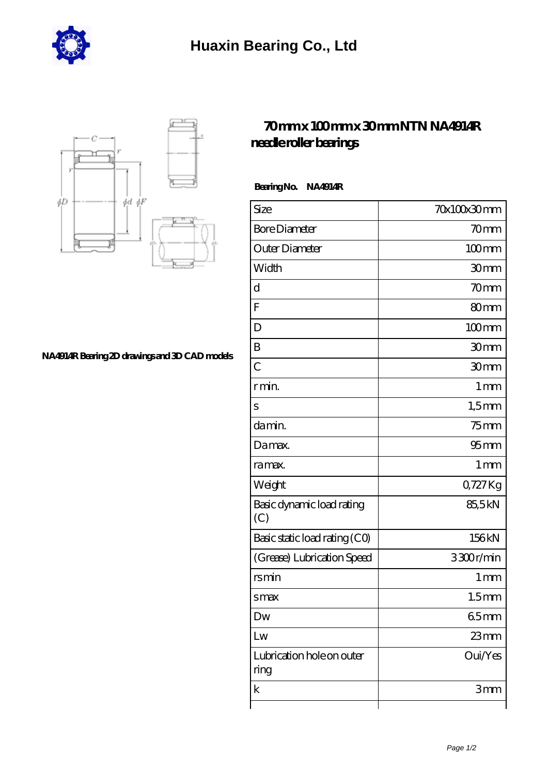



## **[NA4914R Bearing 2D drawings and 3D CAD models](https://m.hurtwoodmedia.com/pic-4704.html)**

## **[70 mm x 100 mm x 30 mm NTN NA4914R](https://m.hurtwoodmedia.com/au-4704-ntn-na4914r-needle-roller-bearings.html) [needle roller bearings](https://m.hurtwoodmedia.com/au-4704-ntn-na4914r-needle-roller-bearings.html)**

 **Bearing No. NA4914R**

| Size                              | 70x100x30mm        |
|-----------------------------------|--------------------|
| <b>Bore Diameter</b>              | 70 <sub>mm</sub>   |
| Outer Diameter                    | $100$ mm           |
| Width                             | 30mm               |
| d                                 | 70mm               |
| F                                 | 80mm               |
| D                                 | $100$ mm           |
| B                                 | 30mm               |
| $\overline{C}$                    | 30mm               |
| r min.                            | 1 <sub>mm</sub>    |
| S                                 | $1,5$ mm           |
| da min.                           | $75$ mm            |
| Damax.                            | $95$ <sub>mm</sub> |
| ra max.                           | 1 <sub>mm</sub>    |
| Weight                            | 0,727Kg            |
| Basic dynamic load rating<br>(C)  | 85,5kN             |
| Basic static load rating (CO)     | 156kN              |
| (Grease) Lubrication Speed        | 3300r/min          |
| rsmin                             | 1 <sub>mm</sub>    |
| smax                              | 1.5 <sub>mm</sub>  |
| Dw                                | 65mm               |
| Lw                                | $23 \text{mm}$     |
| Lubrication hole on outer<br>ring | Oui/Yes            |
| $\mathbf k$                       | 3mm                |
|                                   |                    |